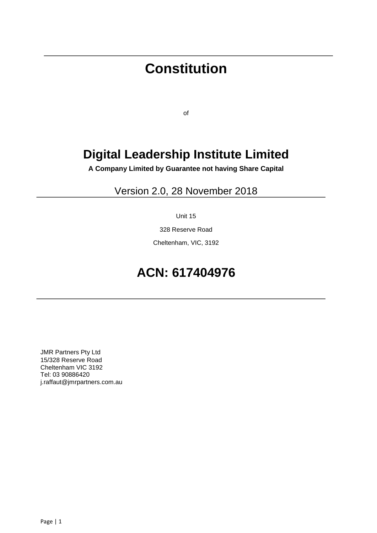# **Constitution**

of

# **Digital Leadership Institute Limited**

**A Company Limited by Guarantee not having Share Capital**

Version 2.0, 28 November 2018

Unit 15

328 Reserve Road

Cheltenham, VIC, 3192

# **ACN: 617404976**

JMR Partners Pty Ltd 15/328 Reserve Road Cheltenham VIC 3192 Tel: 03 90886420 j.raffaut@jmrpartners.com.au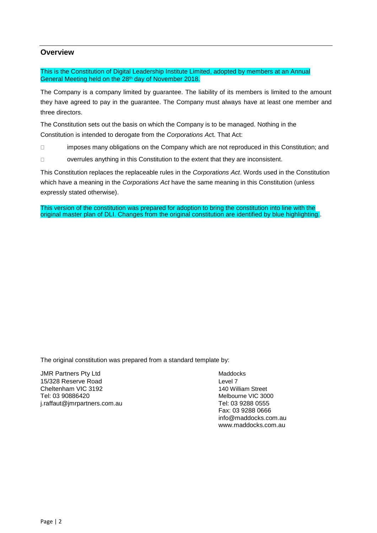### <span id="page-1-0"></span>**Overview**

This is the Constitution of Digital Leadership Institute Limited, adopted by members at an Annual General Meeting held on the 28th day of November 2018.

The Company is a company limited by guarantee. The liability of its members is limited to the amount they have agreed to pay in the guarantee. The Company must always have at least one member and three directors.

The Constitution sets out the basis on which the Company is to be managed. Nothing in the Constitution is intended to derogate from the *Corporations Ac*t. That Act:

- $\Box$ imposes many obligations on the Company which are not reproduced in this Constitution; and
- $\Box$ overrules anything in this Constitution to the extent that they are inconsistent.

This Constitution replaces the replaceable rules in the *Corporations Act*. Words used in the Constitution which have a meaning in the *Corporations Act* have the same meaning in this Constitution (unless expressly stated otherwise).

This version of the constitution was prepared for adoption to bring the constitution into line with the original master plan of DLI. Changes from the original constitution are identified by blue highlighting..

The original constitution was prepared from a standard template by:

JMR Partners Pty Ltd **Maddocks** Maddocks 15/328 Reserve Road Level 7 Cheltenham VIC 3192 140 William Street Tel: 03 90886420 Melbourne VIC 3000 j.raffaut@jmrpartners.com.au Tel: 03 9288 0555

Fax: 03 9288 0666 info@maddocks.com.au www.maddocks.com.au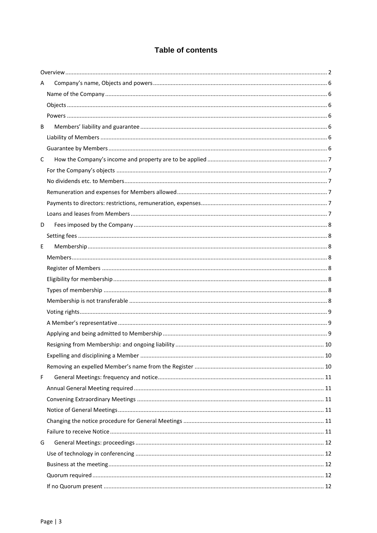# **Table of contents**

| A           |  |
|-------------|--|
|             |  |
|             |  |
|             |  |
| B           |  |
|             |  |
|             |  |
| C           |  |
|             |  |
|             |  |
|             |  |
|             |  |
|             |  |
| D           |  |
|             |  |
| $\mathsf E$ |  |
|             |  |
|             |  |
|             |  |
|             |  |
|             |  |
|             |  |
|             |  |
|             |  |
|             |  |
|             |  |
|             |  |
| F           |  |
|             |  |
|             |  |
|             |  |
|             |  |
|             |  |
| G           |  |
|             |  |
|             |  |
|             |  |
|             |  |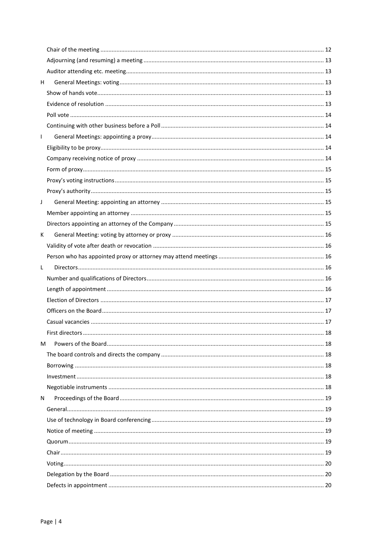| H            |  |
|--------------|--|
|              |  |
|              |  |
|              |  |
|              |  |
| $\mathbf{I}$ |  |
|              |  |
|              |  |
|              |  |
|              |  |
|              |  |
| J            |  |
|              |  |
|              |  |
| К            |  |
|              |  |
|              |  |
| L            |  |
|              |  |
|              |  |
|              |  |
|              |  |
|              |  |
|              |  |
| М            |  |
|              |  |
|              |  |
|              |  |
|              |  |
| N            |  |
|              |  |
|              |  |
|              |  |
|              |  |
|              |  |
|              |  |
|              |  |
|              |  |
|              |  |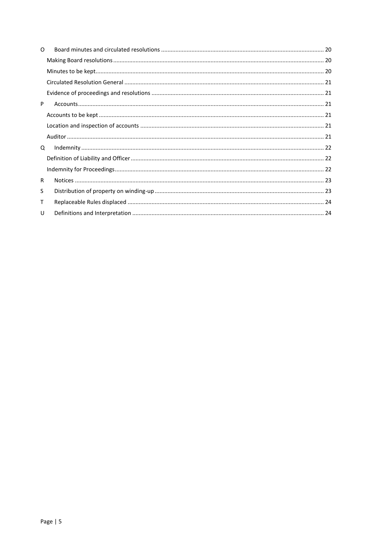<span id="page-4-0"></span>

| $\Omega$ |  |
|----------|--|
|          |  |
|          |  |
|          |  |
|          |  |
| P        |  |
|          |  |
|          |  |
|          |  |
| Q        |  |
|          |  |
|          |  |
| R        |  |
| S        |  |
| т        |  |
| U        |  |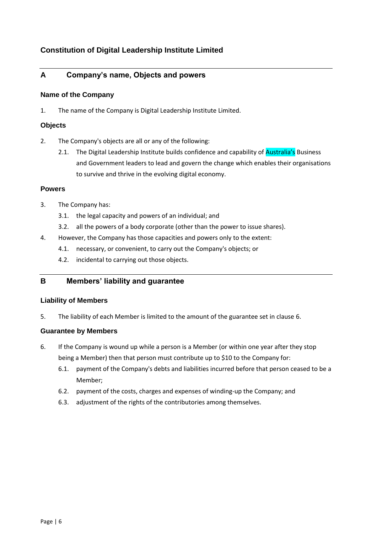# **Constitution of Digital Leadership Institute Limited**

# <span id="page-5-0"></span>**A Company's name, Objects and powers**

## <span id="page-5-1"></span>**Name of the Company**

1. The name of the Company is Digital Leadership Institute Limited.

#### <span id="page-5-2"></span>**Objects**

- 2. The Company's objects are all or any of the following:
	- 2.1. The Digital Leadership Institute builds confidence and capability of Australia's Business and Government leaders to lead and govern the change which enables their organisations to survive and thrive in the evolving digital economy.

#### <span id="page-5-3"></span>**Powers**

- 3. The Company has:
	- 3.1. the legal capacity and powers of an individual; and
	- 3.2. all the powers of a body corporate (other than the power to issue shares).
- 4. However, the Company has those capacities and powers only to the extent:
	- 4.1. necessary, or convenient, to carry out the Company's objects; or
	- 4.2. incidental to carrying out those objects.

# <span id="page-5-4"></span>**B Members' liability and guarantee**

#### <span id="page-5-5"></span>**Liability of Members**

5. The liability of each Member is limited to the amount of the guarantee set in clause [6.](#page-4-0)

#### <span id="page-5-6"></span>**Guarantee by Members**

- 6. If the Company is wound up while a person is a Member (or within one year after they stop being a Member) then that person must contribute up to \$10 to the Company for:
	- 6.1. payment of the Company's debts and liabilities incurred before that person ceased to be a Member;
	- 6.2. payment of the costs, charges and expenses of winding-up the Company; and
	- 6.3. adjustment of the rights of the contributories among themselves.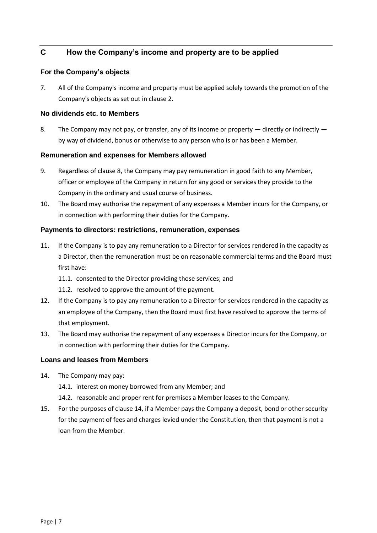# <span id="page-6-0"></span>**C How the Company's income and property are to be applied**

## <span id="page-6-1"></span>**For the Company's objects**

7. All of the Company's income and property must be applied solely towards the promotion of the Company's objects as set out in claus[e 2.](#page-4-0)

## <span id="page-6-2"></span>**No dividends etc. to Members**

8. The Company may not pay, or transfer, any of its income or property — directly or indirectly by way of dividend, bonus or otherwise to any person who is or has been a Member.

## <span id="page-6-3"></span>**Remuneration and expenses for Members allowed**

- 9. Regardless of clause 8, the Company may pay remuneration in good faith to any Member, officer or employee of the Company in return for any good or services they provide to the Company in the ordinary and usual course of business.
- 10. The Board may authorise the repayment of any expenses a Member incurs for the Company, or in connection with performing their duties for the Company.

## <span id="page-6-4"></span>**Payments to directors: restrictions, remuneration, expenses**

- 11. If the Company is to pay any remuneration to a Director for services rendered in the capacity as a Director, then the remuneration must be on reasonable commercial terms and the Board must first have:
	- 11.1. consented to the Director providing those services; and
	- 11.2. resolved to approve the amount of the payment.
- 12. If the Company is to pay any remuneration to a Director for services rendered in the capacity as an employee of the Company, then the Board must first have resolved to approve the terms of that employment.
- 13. The Board may authorise the repayment of any expenses a Director incurs for the Company, or in connection with performing their duties for the Company.

## <span id="page-6-5"></span>**Loans and leases from Members**

- 14. The Company may pay:
	- 14.1. interest on money borrowed from any Member; and
	- 14.2. reasonable and proper rent for premises a Member leases to the Company.
- 15. For the purposes of clause 14, if a Member pays the Company a deposit, bond or other security for the payment of fees and charges levied under the Constitution, then that payment is not a loan from the Member.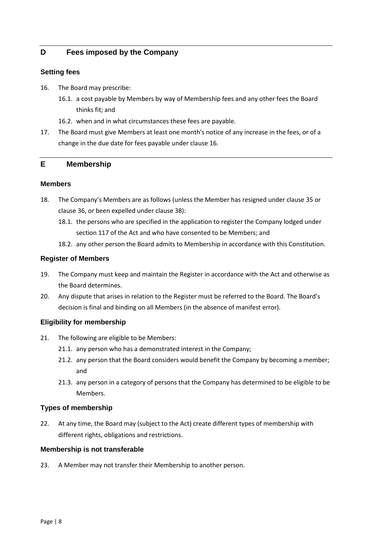# <span id="page-7-0"></span>**D Fees imposed by the Company**

### <span id="page-7-1"></span>**Setting fees**

- 16. The Board may prescribe:
	- 16.1. a cost payable by Members by way of Membership fees and any other fees the Board thinks fit; and
	- 16.2. when and in what circumstances these fees are payable.
- 17. The Board must give Members at least one month's notice of any increase in the fees, or of a change in the due date for fees payable under clause 16.

## <span id="page-7-2"></span>**E Membership**

### <span id="page-7-3"></span>**Members**

- 18. The Company's Members are as follows (unless the Member has resigned under clause 35 or clause 36, or been expelled under clause 38):
	- 18.1. the persons who are specified in the application to register the Company lodged under section 117 of the Act and who have consented to be Members; and
	- 18.2. any other person the Board admits to Membership in accordance with this Constitution.

#### <span id="page-7-4"></span>**Register of Members**

- 19. The Company must keep and maintain the Register in accordance with the Act and otherwise as the Board determines.
- 20. Any dispute that arises in relation to the Register must be referred to the Board. The Board's decision is final and binding on all Members (in the absence of manifest error).

## <span id="page-7-5"></span>**Eligibility for membership**

- 21. The following are eligible to be Members:
	- 21.1. any person who has a demonstrated interest in the Company;
	- 21.2. any person that the Board considers would benefit the Company by becoming a member; and
	- 21.3. any person in a category of persons that the Company has determined to be eligible to be Members.

## <span id="page-7-6"></span>**Types of membership**

22. At any time, the Board may (subject to the Act) create different types of membership with different rights, obligations and restrictions.

#### <span id="page-7-7"></span>**Membership is not transferable**

23. A Member may not transfer their Membership to another person.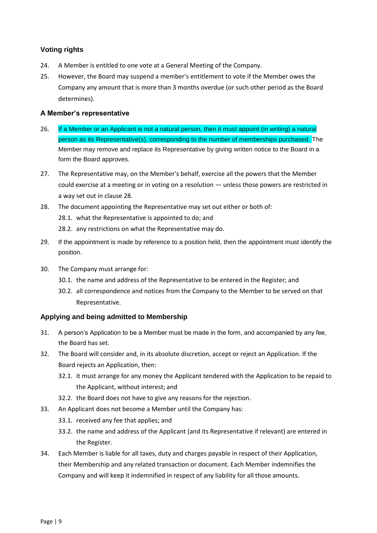## <span id="page-8-0"></span>**Voting rights**

- 24. A Member is entitled to one vote at a General Meeting of the Company.
- 25. However, the Board may suspend a member's entitlement to vote if the Member owes the Company any amount that is more than 3 months overdue (or such other period as the Board determines).

## <span id="page-8-1"></span>**A Member's representative**

- 26. If a Member or an Applicant is not a natural person, then it must appoint (in writing) a natural person as its Representative(s), corresponding to the number of memberships purchased. The Member may remove and replace its Representative by giving written notice to the Board in a form the Board approves.
- 27. The Representative may, on the Member's behalf, exercise all the powers that the Member could exercise at a meeting or in voting on a resolution — unless those powers are restricted in a way set out in clause 28.
- 28. The document appointing the Representative may set out either or both of:
	- 28.1. what the Representative is appointed to do; and
	- 28.2. any restrictions on what the Representative may do.
- 29. If the appointment is made by reference to a position held, then the appointment must identify the position.
- 30. The Company must arrange for:
	- 30.1. the name and address of the Representative to be entered in the Register; and
	- 30.2. all correspondence and notices from the Company to the Member to be served on that Representative.

## <span id="page-8-2"></span>**Applying and being admitted to Membership**

- 31. A person's Application to be a Member must be made in the form, and accompanied by any fee, the Board has set.
- 32. The Board will consider and, in its absolute discretion, accept or reject an Application. If the Board rejects an Application, then:
	- 32.1. it must arrange for any money the Applicant tendered with the Application to be repaid to the Applicant, without interest; and
	- 32.2. the Board does not have to give any reasons for the rejection.
- 33. An Applicant does not become a Member until the Company has:
	- 33.1. received any fee that applies; and
	- 33.2. the name and address of the Applicant (and its Representative if relevant) are entered in the Register.
- 34. Each Member is liable for all taxes, duty and charges payable in respect of their Application, their Membership and any related transaction or document. Each Member indemnifies the Company and will keep it indemnified in respect of any liability for all those amounts.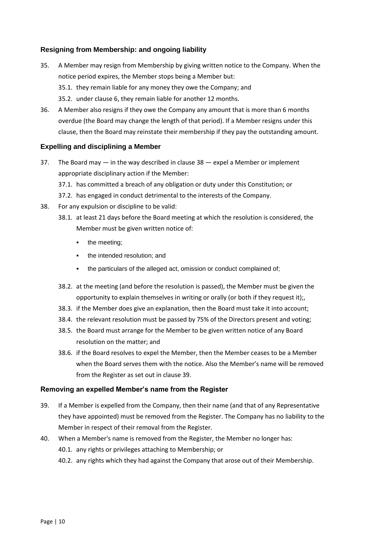## <span id="page-9-0"></span>**Resigning from Membership: and ongoing liability**

- 35. A Member may resign from Membership by giving written notice to the Company. When the notice period expires, the Member stops being a Member but: 35.1. they remain liable for any money they owe the Company; and 35.2. under clause [6, t](#page-4-0)hey remain liable for another 12 months.
- 36. A Member also resigns if they owe the Company any amount that is more than 6 months overdue (the Board may change the length of that period). If a Member resigns under this clause, then the Board may reinstate their membership if they pay the outstanding amount.

## <span id="page-9-1"></span>**Expelling and disciplining a Member**

- 37. The Board may  $-$  in the way described in clause  $38 -$  expel a Member or implement appropriate disciplinary action if the Member:
	- 37.1. has committed a breach of any obligation or duty under this Constitution; or
	- 37.2. has engaged in conduct detrimental to the interests of the Company.
- 38. For any expulsion or discipline to be valid:
	- 38.1. at least 21 days before the Board meeting at which the resolution is considered, the Member must be given written notice of:
		- **•** the meeting;
		- the intended resolution; and
		- the particulars of the alleged act, omission or conduct complained of;
	- 38.2. at the meeting (and before the resolution is passed), the Member must be given the opportunity to explain themselves in writing or orally (or both if they request it);,
	- 38.3. if the Member does give an explanation, then the Board must take it into account;
	- 38.4. the relevant resolution must be passed by 75% of the Directors present and voting;
	- 38.5. the Board must arrange for the Member to be given written notice of any Board resolution on the matter; and
	- 38.6. if the Board resolves to expel the Member, then the Member ceases to be a Member when the Board serves them with the notice. Also the Member's name will be removed from the Register as set out in clause 39.

#### <span id="page-9-2"></span>**Removing an expelled Member's name from the Register**

- 39. If a Member is expelled from the Company, then their name (and that of any Representative they have appointed) must be removed from the Register. The Company has no liability to the Member in respect of their removal from the Register.
- 40. When a Member's name is removed from the Register, the Member no longer has:
	- 40.1. any rights or privileges attaching to Membership; or
	- 40.2. any rights which they had against the Company that arose out of their Membership.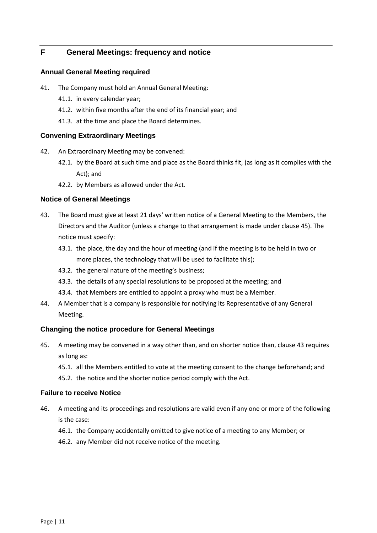# <span id="page-10-0"></span>**F General Meetings: frequency and notice**

#### <span id="page-10-1"></span>**Annual General Meeting required**

- 41. The Company must hold an Annual General Meeting:
	- 41.1. in every calendar year;
	- 41.2. within five months after the end of its financial year; and
	- 41.3. at the time and place the Board determines.

#### <span id="page-10-2"></span>**Convening Extraordinary Meetings**

- 42. An Extraordinary Meeting may be convened:
	- 42.1. by the Board at such time and place as the Board thinks fit, (as long as it complies with the Act); and
	- 42.2. by Members as allowed under the Act.

#### <span id="page-10-3"></span>**Notice of General Meetings**

- 43. The Board must give at least 21 days' written notice of a General Meeting to the Members, the Directors and the Auditor (unless a change to that arrangement is made under clause 45). The notice must specify:
	- 43.1. the place, the day and the hour of meeting (and if the meeting is to be held in two or more places, the technology that will be used to facilitate this);
	- 43.2. the general nature of the meeting's business;
	- 43.3. the details of any special resolutions to be proposed at the meeting; and
	- 43.4. that Members are entitled to appoint a proxy who must be a Member.
- 44. A Member that is a company is responsible for notifying its Representative of any General Meeting.

#### <span id="page-10-4"></span>**Changing the notice procedure for General Meetings**

- 45. A meeting may be convened in a way other than, and on shorter notice than, clause 43 requires as long as:
	- 45.1. all the Members entitled to vote at the meeting consent to the change beforehand; and
	- 45.2. the notice and the shorter notice period comply with the Act.

#### <span id="page-10-5"></span>**Failure to receive Notice**

- 46. A meeting and its proceedings and resolutions are valid even if any one or more of the following is the case:
	- 46.1. the Company accidentally omitted to give notice of a meeting to any Member; or
	- 46.2. any Member did not receive notice of the meeting.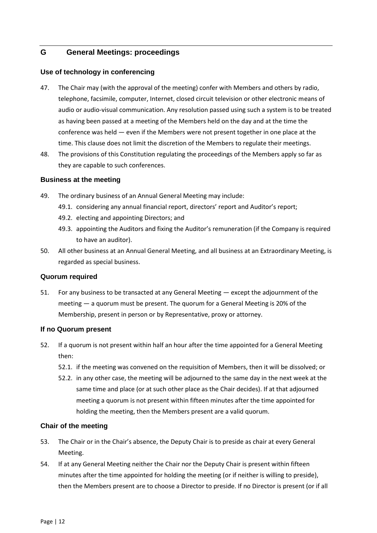## <span id="page-11-0"></span>**G General Meetings: proceedings**

#### <span id="page-11-1"></span>**Use of technology in conferencing**

- 47. The Chair may (with the approval of the meeting) confer with Members and others by radio, telephone, facsimile, computer, Internet, closed circuit television or other electronic means of audio or audio-visual communication. Any resolution passed using such a system is to be treated as having been passed at a meeting of the Members held on the day and at the time the conference was held — even if the Members were not present together in one place at the time. This clause does not limit the discretion of the Members to regulate their meetings.
- 48. The provisions of this Constitution regulating the proceedings of the Members apply so far as they are capable to such conferences.

#### <span id="page-11-2"></span>**Business at the meeting**

- 49. The ordinary business of an Annual General Meeting may include:
	- 49.1. considering any annual financial report, directors' report and Auditor's report;
	- 49.2. electing and appointing Directors; and
	- 49.3. appointing the Auditors and fixing the Auditor's remuneration (if the Company is required to have an auditor).
- 50. All other business at an Annual General Meeting, and all business at an Extraordinary Meeting, is regarded as special business.

#### <span id="page-11-3"></span>**Quorum required**

51. For any business to be transacted at any General Meeting — except the adjournment of the meeting — a quorum must be present. The quorum for a General Meeting is 20% of the Membership, present in person or by Representative, proxy or attorney.

#### <span id="page-11-4"></span>**If no Quorum present**

- 52. If a quorum is not present within half an hour after the time appointed for a General Meeting then:
	- 52.1. if the meeting was convened on the requisition of Members, then it will be dissolved; or
	- 52.2. in any other case, the meeting will be adjourned to the same day in the next week at the same time and place (or at such other place as the Chair decides). If at that adjourned meeting a quorum is not present within fifteen minutes after the time appointed for holding the meeting, then the Members present are a valid quorum.

#### <span id="page-11-5"></span>**Chair of the meeting**

- 53. The Chair or in the Chair's absence, the Deputy Chair is to preside as chair at every General Meeting.
- 54. If at any General Meeting neither the Chair nor the Deputy Chair is present within fifteen minutes after the time appointed for holding the meeting (or if neither is willing to preside), then the Members present are to choose a Director to preside. If no Director is present (or if all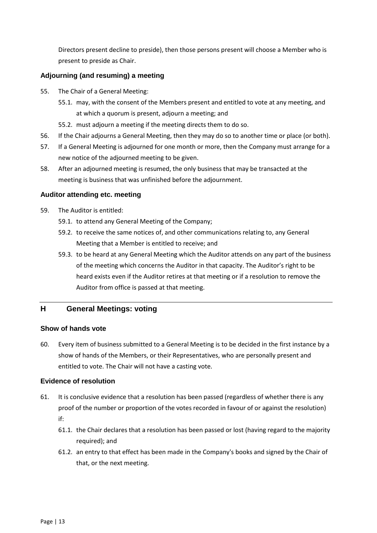Directors present decline to preside), then those persons present will choose a Member who is present to preside as Chair.

## <span id="page-12-0"></span>**Adjourning (and resuming) a meeting**

- 55. The Chair of a General Meeting:
	- 55.1. may, with the consent of the Members present and entitled to vote at any meeting, and at which a quorum is present, adjourn a meeting; and
	- 55.2. must adjourn a meeting if the meeting directs them to do so.
- 56. If the Chair adjourns a General Meeting, then they may do so to another time or place (or both).
- 57. If a General Meeting is adjourned for one month or more, then the Company must arrange for a new notice of the adjourned meeting to be given.
- 58. After an adjourned meeting is resumed, the only business that may be transacted at the meeting is business that was unfinished before the adjournment.

## <span id="page-12-1"></span>**Auditor attending etc. meeting**

- 59. The Auditor is entitled:
	- 59.1. to attend any General Meeting of the Company;
	- 59.2. to receive the same notices of, and other communications relating to, any General Meeting that a Member is entitled to receive; and
	- 59.3. to be heard at any General Meeting which the Auditor attends on any part of the business of the meeting which concerns the Auditor in that capacity. The Auditor's right to be heard exists even if the Auditor retires at that meeting or if a resolution to remove the Auditor from office is passed at that meeting.

# <span id="page-12-2"></span>**H General Meetings: voting**

#### <span id="page-12-3"></span>**Show of hands vote**

60. Every item of business submitted to a General Meeting is to be decided in the first instance by a show of hands of the Members, or their Representatives, who are personally present and entitled to vote. The Chair will not have a casting vote.

## <span id="page-12-4"></span>**Evidence of resolution**

- 61. It is conclusive evidence that a resolution has been passed (regardless of whether there is any proof of the number or proportion of the votes recorded in favour of or against the resolution) if:
	- 61.1. the Chair declares that a resolution has been passed or lost (having regard to the majority required); and
	- 61.2. an entry to that effect has been made in the Company's books and signed by the Chair of that, or the next meeting.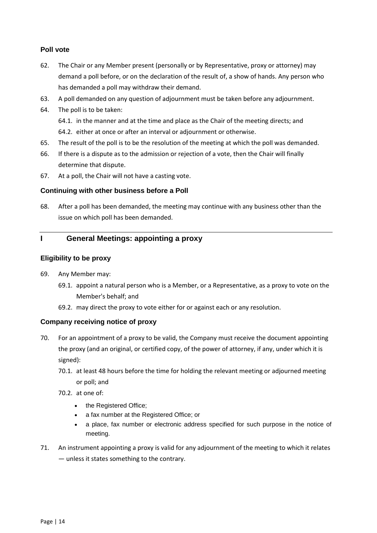## <span id="page-13-0"></span>**Poll vote**

- 62. The Chair or any Member present (personally or by Representative, proxy or attorney) may demand a poll before, or on the declaration of the result of, a show of hands. Any person who has demanded a poll may withdraw their demand.
- 63. A poll demanded on any question of adjournment must be taken before any adjournment.
- 64. The poll is to be taken: 64.1. in the manner and at the time and place as the Chair of the meeting directs; and 64.2. either at once or after an interval or adjournment or otherwise.
- 65. The result of the poll is to be the resolution of the meeting at which the poll was demanded.
- 66. If there is a dispute as to the admission or rejection of a vote, then the Chair will finally determine that dispute.
- 67. At a poll, the Chair will not have a casting vote.

## <span id="page-13-1"></span>**Continuing with other business before a Poll**

68. After a poll has been demanded, the meeting may continue with any business other than the issue on which poll has been demanded.

# <span id="page-13-2"></span>**I General Meetings: appointing a proxy**

## <span id="page-13-3"></span>**Eligibility to be proxy**

- 69. Any Member may:
	- 69.1. appoint a natural person who is a Member, or a Representative, as a proxy to vote on the Member's behalf; and
	- 69.2. may direct the proxy to vote either for or against each or any resolution.

## <span id="page-13-4"></span>**Company receiving notice of proxy**

- 70. For an appointment of a proxy to be valid, the Company must receive the document appointing the proxy (and an original, or certified copy, of the power of attorney, if any, under which it is signed):
	- 70.1. at least 48 hours before the time for holding the relevant meeting or adjourned meeting or poll; and
	- 70.2. at one of:
		- the Registered Office;
		- a fax number at the Registered Office; or
		- a place, fax number or electronic address specified for such purpose in the notice of meeting.
- 71. An instrument appointing a proxy is valid for any adjournment of the meeting to which it relates — unless it states something to the contrary.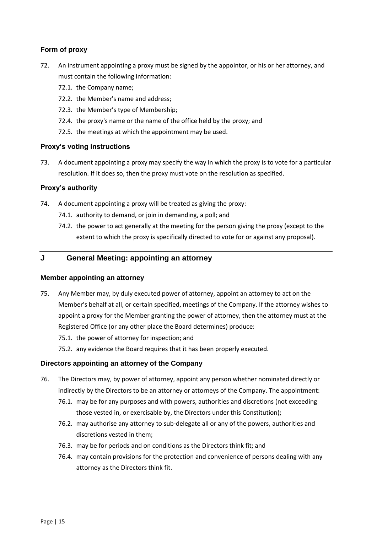## <span id="page-14-0"></span>**Form of proxy**

- 72. An instrument appointing a proxy must be signed by the appointor, or his or her attorney, and must contain the following information:
	- 72.1. the Company name;
	- 72.2. the Member's name and address;
	- 72.3. the Member's type of Membership;
	- 72.4. the proxy's name or the name of the office held by the proxy; and
	- 72.5. the meetings at which the appointment may be used.

## <span id="page-14-1"></span>**Proxy's voting instructions**

73. A document appointing a proxy may specify the way in which the proxy is to vote for a particular resolution. If it does so, then the proxy must vote on the resolution as specified.

#### <span id="page-14-2"></span>**Proxy's authority**

- 74. A document appointing a proxy will be treated as giving the proxy:
	- 74.1. authority to demand, or join in demanding, a poll; and
	- 74.2. the power to act generally at the meeting for the person giving the proxy (except to the extent to which the proxy is specifically directed to vote for or against any proposal).

## <span id="page-14-3"></span>**J General Meeting: appointing an attorney**

#### <span id="page-14-4"></span>**Member appointing an attorney**

- 75. Any Member may, by duly executed power of attorney, appoint an attorney to act on the Member's behalf at all, or certain specified, meetings of the Company. If the attorney wishes to appoint a proxy for the Member granting the power of attorney, then the attorney must at the Registered Office (or any other place the Board determines) produce:
	- 75.1. the power of attorney for inspection; and
	- 75.2. any evidence the Board requires that it has been properly executed.

## <span id="page-14-5"></span>**Directors appointing an attorney of the Company**

- 76. The Directors may, by power of attorney, appoint any person whether nominated directly or indirectly by the Directors to be an attorney or attorneys of the Company. The appointment:
	- 76.1. may be for any purposes and with powers, authorities and discretions (not exceeding those vested in, or exercisable by, the Directors under this Constitution);
	- 76.2. may authorise any attorney to sub-delegate all or any of the powers, authorities and discretions vested in them;
	- 76.3. may be for periods and on conditions as the Directors think fit; and
	- 76.4. may contain provisions for the protection and convenience of persons dealing with any attorney as the Directors think fit.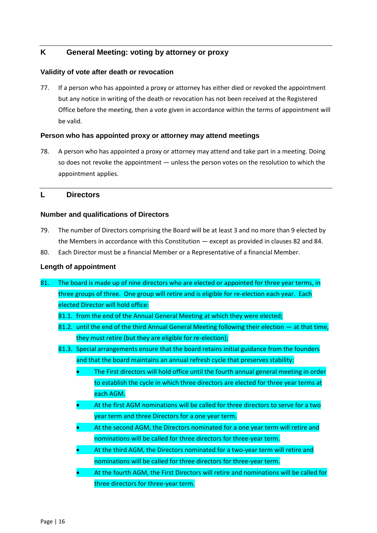# <span id="page-15-0"></span>**K General Meeting: voting by attorney or proxy**

### <span id="page-15-1"></span>**Validity of vote after death or revocation**

77. If a person who has appointed a proxy or attorney has either died or revoked the appointment but any notice in writing of the death or revocation has not been received at the Registered Office before the meeting, then a vote given in accordance within the terms of appointment will be valid.

#### <span id="page-15-2"></span>**Person who has appointed proxy or attorney may attend meetings**

78. A person who has appointed a proxy or attorney may attend and take part in a meeting. Doing so does not revoke the appointment — unless the person votes on the resolution to which the appointment applies.

## <span id="page-15-3"></span>**L Directors**

#### <span id="page-15-4"></span>**Number and qualifications of Directors**

- 79. The number of Directors comprising the Board will be at least 3 and no more than 9 elected by the Members in accordance with this Constitution — except as provided in clauses 82 and 84.
- 80. Each Director must be a financial Member or a Representative of a financial Member.

### <span id="page-15-5"></span>**Length of appointment**

- 81. The board is made up of nine directors who are elected or appointed for three year terms, in three groups of three. One group will retire and is eligible for re-election each year. Each elected Director will hold office:
	- 81.1. from the end of the Annual General Meeting at which they were elected;
	- 81.2. until the end of the third Annual General Meeting following their election at that time, they must retire (but they are eligible for re-election);
	- 81.3. Special arrangements ensure that the board retains initial guidance from the founders and that the board maintains an annual refresh cycle that preserves stability:
		- The First directors will hold office until the fourth annual general meeting in order to establish the cycle in which three directors are elected for three year terms at each AGM.
		- At the first AGM nominations will be called for three directors to serve for a two year term and three Directors for a one year term.
		- At the second AGM, the Directors nominated for a one year term will retire and nominations will be called for three directors for three-year term.
		- At the third AGM, the Directors nominated for a two-year term will retire and nominations will be called for three directors for three-year term.
		- At the fourth AGM, the First Directors will retire and nominations will be called for three directors for three-year term.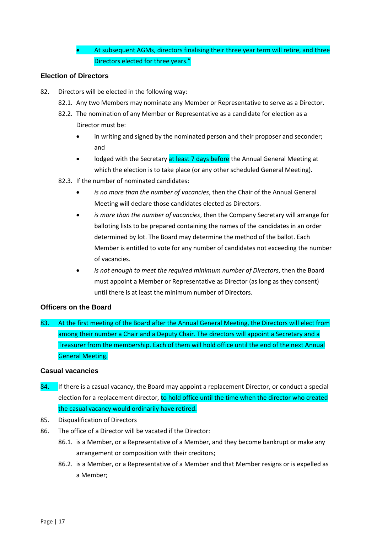• At subsequent AGMs, directors finalising their three year term will retire, and three Directors elected for three years."

#### <span id="page-16-0"></span>**Election of Directors**

- 82. Directors will be elected in the following way:
	- 82.1. Any two Members may nominate any Member or Representative to serve as a Director.
	- 82.2. The nomination of any Member or Representative as a candidate for election as a Director must be:
		- in writing and signed by the nominated person and their proposer and seconder; and
		- lodged with the Secretary at least 7 days before the Annual General Meeting at which the election is to take place (or any other scheduled General Meeting).
	- 82.3. If the number of nominated candidates:
		- *is no more than the number of vacancies*, then the Chair of the Annual General Meeting will declare those candidates elected as Directors.
		- *is more than the number of vacancies*, then the Company Secretary will arrange for balloting lists to be prepared containing the names of the candidates in an order determined by lot. The Board may determine the method of the ballot. Each Member is entitled to vote for any number of candidates not exceeding the number of vacancies.
		- *is not enough to meet the required minimum number of Directors*, then the Board must appoint a Member or Representative as Director (as long as they consent) until there is at least the minimum number of Directors.

## <span id="page-16-1"></span>**Officers on the Board**

83. At the first meeting of the Board after the Annual General Meeting, the Directors will elect from among their number a Chair and a Deputy Chair. The directors will appoint a Secretary and a Treasurer from the membership. Each of them will hold office until the end of the next Annual General Meeting.

#### <span id="page-16-2"></span>**Casual vacancies**

- 84. If there is a casual vacancy, the Board may appoint a replacement Director, or conduct a special election for a replacement director, to hold office until the time when the director who created the casual vacancy would ordinarily have retired.
- 85. Disqualification of Directors
- 86. The office of a Director will be vacated if the Director:
	- 86.1. is a Member, or a Representative of a Member, and they become bankrupt or make any arrangement or composition with their creditors;
	- 86.2. is a Member, or a Representative of a Member and that Member resigns or is expelled as a Member;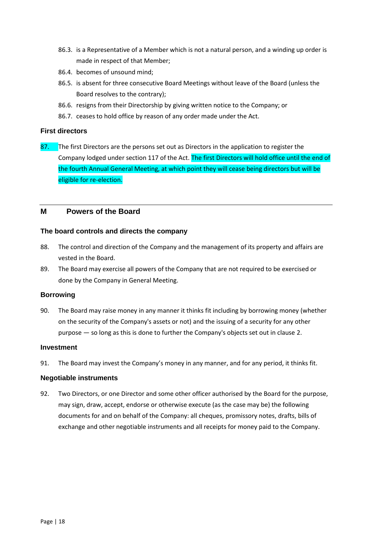- 86.3. is a Representative of a Member which is not a natural person, and a winding up order is made in respect of that Member;
- 86.4. becomes of unsound mind;
- 86.5. is absent for three consecutive Board Meetings without leave of the Board (unless the Board resolves to the contrary);
- 86.6. resigns from their Directorship by giving written notice to the Company; or
- 86.7. ceases to hold office by reason of any order made under the Act.

#### <span id="page-17-0"></span>**First directors**

87. The first Directors are the persons set out as Directors in the application to register the Company lodged under section 117 of the Act. The first Directors will hold office until the end of the fourth Annual General Meeting, at which point they will cease being directors but will be eligible for re-election.

## <span id="page-17-1"></span>**M Powers of the Board**

#### <span id="page-17-2"></span>**The board controls and directs the company**

- 88. The control and direction of the Company and the management of its property and affairs are vested in the Board.
- 89. The Board may exercise all powers of the Company that are not required to be exercised or done by the Company in General Meeting.

#### <span id="page-17-3"></span>**Borrowing**

90. The Board may raise money in any manner it thinks fit including by borrowing money (whether on the security of the Company's assets or not) and the issuing of a security for any other purpose — so long as this is done to further the Company's objects set out in clause [2.](#page-4-0)

#### <span id="page-17-4"></span>**Investment**

91. The Board may invest the Company's money in any manner, and for any period, it thinks fit.

#### <span id="page-17-5"></span>**Negotiable instruments**

92. Two Directors, or one Director and some other officer authorised by the Board for the purpose, may sign, draw, accept, endorse or otherwise execute (as the case may be) the following documents for and on behalf of the Company: all cheques, promissory notes, drafts, bills of exchange and other negotiable instruments and all receipts for money paid to the Company.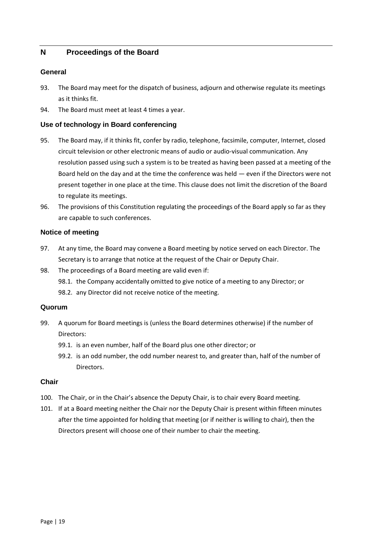# <span id="page-18-0"></span>**N Proceedings of the Board**

#### <span id="page-18-1"></span>**General**

- 93. The Board may meet for the dispatch of business, adjourn and otherwise regulate its meetings as it thinks fit.
- 94. The Board must meet at least 4 times a year.

### <span id="page-18-2"></span>**Use of technology in Board conferencing**

- 95. The Board may, if it thinks fit, confer by radio, telephone, facsimile, computer, Internet, closed circuit television or other electronic means of audio or audio-visual communication. Any resolution passed using such a system is to be treated as having been passed at a meeting of the Board held on the day and at the time the conference was held — even if the Directors were not present together in one place at the time. This clause does not limit the discretion of the Board to regulate its meetings.
- 96. The provisions of this Constitution regulating the proceedings of the Board apply so far as they are capable to such conferences.

#### <span id="page-18-3"></span>**Notice of meeting**

- 97. At any time, the Board may convene a Board meeting by notice served on each Director. The Secretary is to arrange that notice at the request of the Chair or Deputy Chair.
- 98. The proceedings of a Board meeting are valid even if: 98.1. the Company accidentally omitted to give notice of a meeting to any Director; or 98.2. any Director did not receive notice of the meeting.

#### <span id="page-18-4"></span>**Quorum**

- 99. A quorum for Board meetings is (unless the Board determines otherwise) if the number of Directors:
	- 99.1. is an even number, half of the Board plus one other director; or
	- 99.2. is an odd number, the odd number nearest to, and greater than, half of the number of Directors.

#### <span id="page-18-5"></span>**Chair**

- 100. The Chair, or in the Chair's absence the Deputy Chair, is to chair every Board meeting.
- 101. If at a Board meeting neither the Chair nor the Deputy Chair is present within fifteen minutes after the time appointed for holding that meeting (or if neither is willing to chair), then the Directors present will choose one of their number to chair the meeting.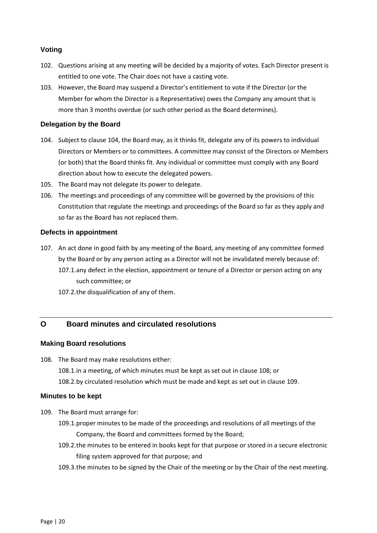## <span id="page-19-0"></span>**Voting**

- 102. Questions arising at any meeting will be decided by a majority of votes. Each Director present is entitled to one vote. The Chair does not have a casting vote.
- 103. However, the Board may suspend a Director's entitlement to vote if the Director (or the Member for whom the Director is a Representative) owes the Company any amount that is more than 3 months overdue (or such other period as the Board determines).

## <span id="page-19-1"></span>**Delegation by the Board**

- 104. Subject to clause 104, the Board may, as it thinks fit, delegate any of its powers to individual Directors or Members or to committees. A committee may consist of the Directors or Members (or both) that the Board thinks fit. Any individual or committee must comply with any Board direction about how to execute the delegated powers.
- 105. The Board may not delegate its power to delegate.
- 106. The meetings and proceedings of any committee will be governed by the provisions of this Constitution that regulate the meetings and proceedings of the Board so far as they apply and so far as the Board has not replaced them.

## <span id="page-19-2"></span>**Defects in appointment**

- 107. An act done in good faith by any meeting of the Board, any meeting of any committee formed by the Board or by any person acting as a Director will not be invalidated merely because of:
	- 107.1.any defect in the election, appointment or tenure of a Director or person acting on any such committee; or
	- 107.2.the disqualification of any of them.

# <span id="page-19-3"></span>**O Board minutes and circulated resolutions**

## <span id="page-19-4"></span>**Making Board resolutions**

108. The Board may make resolutions either:

108.1.in a meeting, of which minutes must be kept as set out in clause 108; or 108.2.by circulated resolution which must be made and kept as set out in clause 109.

## <span id="page-19-5"></span>**Minutes to be kept**

- 109. The Board must arrange for:
	- 109.1.proper minutes to be made of the proceedings and resolutions of all meetings of the Company, the Board and committees formed by the Board;
	- 109.2.the minutes to be entered in books kept for that purpose or stored in a secure electronic filing system approved for that purpose; and
	- 109.3.the minutes to be signed by the Chair of the meeting or by the Chair of the next meeting.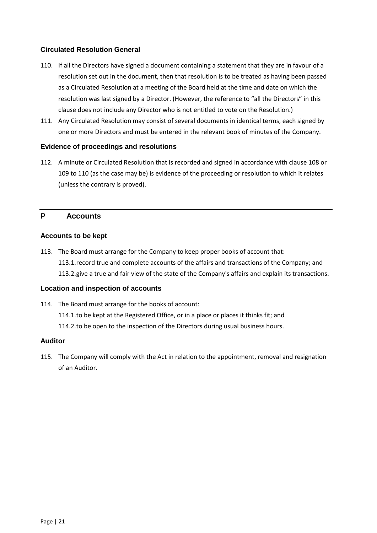## <span id="page-20-0"></span>**Circulated Resolution General**

- 110. If all the Directors have signed a document containing a statement that they are in favour of a resolution set out in the document, then that resolution is to be treated as having been passed as a Circulated Resolution at a meeting of the Board held at the time and date on which the resolution was last signed by a Director. (However, the reference to "all the Directors" in this clause does not include any Director who is not entitled to vote on the Resolution.)
- 111. Any Circulated Resolution may consist of several documents in identical terms, each signed by one or more Directors and must be entered in the relevant book of minutes of the Company.

#### <span id="page-20-1"></span>**Evidence of proceedings and resolutions**

112. A minute or Circulated Resolution that is recorded and signed in accordance with clause 108 or 109 to 110 (as the case may be) is evidence of the proceeding or resolution to which it relates (unless the contrary is proved).

## <span id="page-20-2"></span>**P Accounts**

#### <span id="page-20-3"></span>**Accounts to be kept**

113. The Board must arrange for the Company to keep proper books of account that: 113.1.record true and complete accounts of the affairs and transactions of the Company; and 113.2.give a true and fair view of the state of the Company's affairs and explain its transactions.

#### <span id="page-20-4"></span>**Location and inspection of accounts**

114. The Board must arrange for the books of account: 114.1.to be kept at the Registered Office, or in a place or places it thinks fit; and 114.2.to be open to the inspection of the Directors during usual business hours.

#### <span id="page-20-5"></span>**Auditor**

115. The Company will comply with the Act in relation to the appointment, removal and resignation of an Auditor.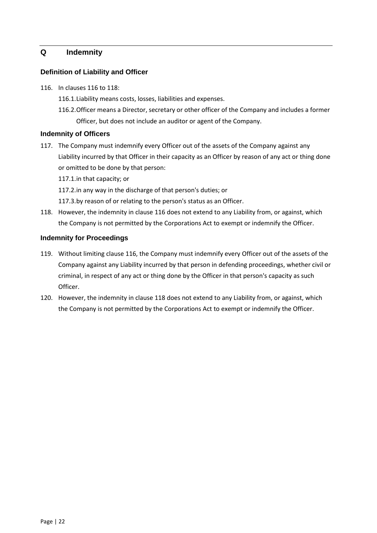# <span id="page-21-0"></span>**Q Indemnity**

### <span id="page-21-1"></span>**Definition of Liability and Officer**

- 116. In clauses 116 to 118:
	- 116.1.Liability means costs, losses, liabilities and expenses.
	- 116.2.Officer means a Director, secretary or other officer of the Company and includes a former Officer, but does not include an auditor or agent of the Company.

#### **Indemnity of Officers**

- 117. The Company must indemnify every Officer out of the assets of the Company against any Liability incurred by that Officer in their capacity as an Officer by reason of any act or thing done or omitted to be done by that person:
	- 117.1.in that capacity; or
	- 117.2.in any way in the discharge of that person's duties; or
	- 117.3.by reason of or relating to the person's status as an Officer.
- 118. However, the indemnity in clause 116 does not extend to any Liability from, or against, which the Company is not permitted by the Corporations Act to exempt or indemnify the Officer.

#### <span id="page-21-2"></span>**Indemnity for Proceedings**

- 119. Without limiting clause 116, the Company must indemnify every Officer out of the assets of the Company against any Liability incurred by that person in defending proceedings, whether civil or criminal, in respect of any act or thing done by the Officer in that person's capacity as such Officer.
- 120. However, the indemnity in clause 118 does not extend to any Liability from, or against, which the Company is not permitted by the Corporations Act to exempt or indemnify the Officer.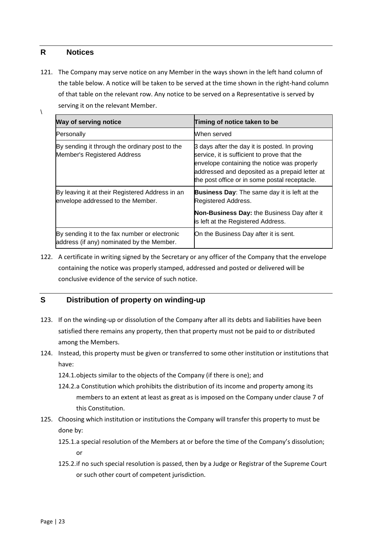### <span id="page-22-0"></span>**R Notices**

121. The Company may serve notice on any Member in the ways shown in the left hand column of the table below. A notice will be taken to be served at the time shown in the right-hand column of that table on the relevant row. Any notice to be served on a Representative is served by serving it on the relevant Member.

| Way of serving notice                                                                      | Timing of notice taken to be                                                                                                                                                                                                                   |
|--------------------------------------------------------------------------------------------|------------------------------------------------------------------------------------------------------------------------------------------------------------------------------------------------------------------------------------------------|
| Personally                                                                                 | When served                                                                                                                                                                                                                                    |
| By sending it through the ordinary post to the<br>Member's Registered Address              | 3 days after the day it is posted. In proving<br>service, it is sufficient to prove that the<br>envelope containing the notice was properly<br>addressed and deposited as a prepaid letter at<br>the post office or in some postal receptacle. |
| By leaving it at their Registered Address in an<br>envelope addressed to the Member.       | <b>Business Day:</b> The same day it is left at the<br>Registered Address.                                                                                                                                                                     |
|                                                                                            | <b>Non-Business Day: the Business Day after it</b><br>is left at the Registered Address.                                                                                                                                                       |
| By sending it to the fax number or electronic<br>address (if any) nominated by the Member. | On the Business Day after it is sent.                                                                                                                                                                                                          |

122. A certificate in writing signed by the Secretary or any officer of the Company that the envelope containing the notice was properly stamped, addressed and posted or delivered will be conclusive evidence of the service of such notice.

## <span id="page-22-1"></span>**S Distribution of property on winding-up**

- 123. If on the winding-up or dissolution of the Company after all its debts and liabilities have been satisfied there remains any property, then that property must not be paid to or distributed among the Members.
- 124. Instead, this property must be given or transferred to some other institution or institutions that have:
	- 124.1.objects similar to the objects of the Company (if there is one); and
	- 124.2.a Constitution which prohibits the distribution of its income and property among its members to an extent at least as great as is imposed on the Company under clause 7 of this Constitution.
- 125. Choosing which institution or institutions the Company will transfer this property to must be done by:
	- 125.1.a special resolution of the Members at or before the time of the Company's dissolution; or
	- 125.2.if no such special resolution is passed, then by a Judge or Registrar of the Supreme Court or such other court of competent jurisdiction.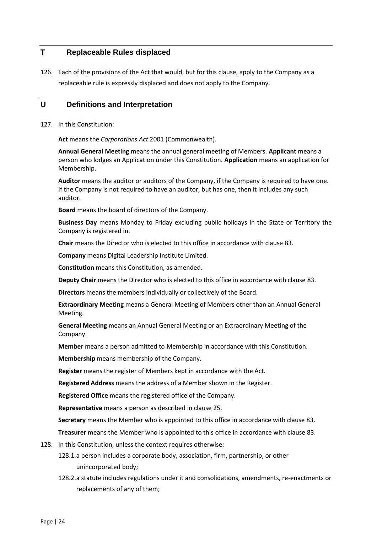## <span id="page-23-0"></span>**T Replaceable Rules displaced**

126. Each of the provisions of the Act that would, but for this clause, apply to the Company as a replaceable rule is expressly displaced and does not apply to the Company.

## <span id="page-23-1"></span>**U Definitions and Interpretation**

127. In this Constitution:

**Act** means the *Corporations Act* 2001 (Commonwealth).

**Annual General Meeting** means the annual general meeting of Members. **Applicant** means a person who lodges an Application under this Constitution. **Application** means an application for Membership.

**Auditor** means the auditor or auditors of the Company, if the Company is required to have one. If the Company is not required to have an auditor, but has one, then it includes any such auditor.

**Board** means the board of directors of the Company.

**Business Day** means Monday to Friday excluding public holidays in the State or Territory the Company is registered in.

**Chair** means the Director who is elected to this office in accordance with clause 83.

**Company** means Digital Leadership Institute Limited.

**Constitution** means this Constitution, as amended.

**Deputy Chair** means the Director who is elected to this office in accordance with clause 83.

**Directors** means the members individually or collectively of the Board.

**Extraordinary Meeting** means a General Meeting of Members other than an Annual General Meeting.

**General Meeting** means an Annual General Meeting or an Extraordinary Meeting of the Company.

**Member** means a person admitted to Membership in accordance with this Constitution.

**Membership** means membership of the Company.

**Register** means the register of Members kept in accordance with the Act.

**Registered Address** means the address of a Member shown in the Register.

**Registered Office** means the registered office of the Company.

**Representative** means a person as described in clause 25.

**Secretary** means the Member who is appointed to this office in accordance with clause 83.

**Treasurer** means the Member who is appointed to this office in accordance with clause 83.

- 128. In this Constitution, unless the context requires otherwise:
	- 128.1.a person includes a corporate body, association, firm, partnership, or other unincorporated body;
	- 128.2.a statute includes regulations under it and consolidations, amendments, re-enactments or replacements of any of them;